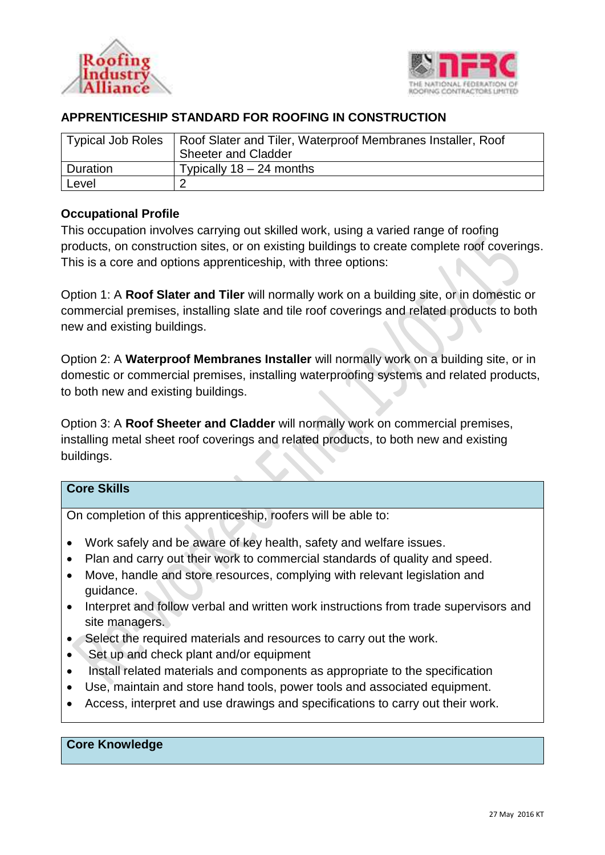



# **APPRENTICESHIP STANDARD FOR ROOFING IN CONSTRUCTION**

|          | Typical Job Roles   Roof Slater and Tiler, Waterproof Membranes Installer, Roof |
|----------|---------------------------------------------------------------------------------|
|          | <b>Sheeter and Cladder</b>                                                      |
| Duration | Typically $18 - 24$ months                                                      |
| Level    |                                                                                 |

## **Occupational Profile**

This occupation involves carrying out skilled work, using a varied range of roofing products, on construction sites, or on existing buildings to create complete roof coverings. This is a core and options apprenticeship, with three options:

Option 1: A **Roof Slater and Tiler** will normally work on a building site, or in domestic or commercial premises, installing slate and tile roof coverings and related products to both new and existing buildings.

Option 2: A **Waterproof Membranes Installer** will normally work on a building site, or in domestic or commercial premises, installing waterproofing systems and related products, to both new and existing buildings.

Option 3: A **Roof Sheeter and Cladder** will normally work on commercial premises, installing metal sheet roof coverings and related products, to both new and existing buildings.

# **Core Skills**

On completion of this apprenticeship, roofers will be able to:

- Work safely and be aware of key health, safety and welfare issues.
- Plan and carry out their work to commercial standards of quality and speed.
- Move, handle and store resources, complying with relevant legislation and guidance.
- Interpret and follow verbal and written work instructions from trade supervisors and site managers.
- Select the required materials and resources to carry out the work.
- Set up and check plant and/or equipment
- Install related materials and components as appropriate to the specification
- Use, maintain and store hand tools, power tools and associated equipment.
- Access, interpret and use drawings and specifications to carry out their work.

#### **Core Knowledge**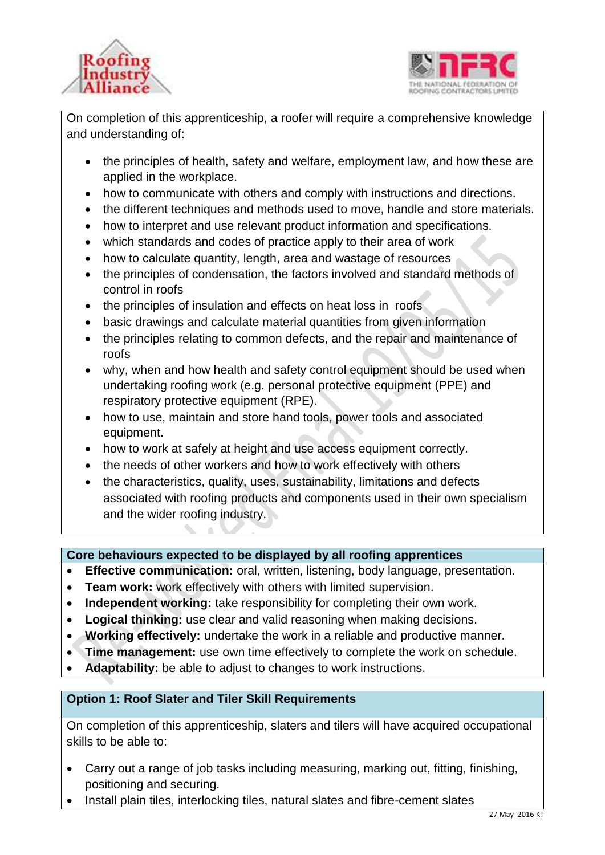



On completion of this apprenticeship, a roofer will require a comprehensive knowledge and understanding of:

- the principles of health, safety and welfare, employment law, and how these are applied in the workplace.
- how to communicate with others and comply with instructions and directions.
- the different techniques and methods used to move, handle and store materials.
- how to interpret and use relevant product information and specifications.
- which standards and codes of practice apply to their area of work
- how to calculate quantity, length, area and wastage of resources
- the principles of condensation, the factors involved and standard methods of control in roofs
- the principles of insulation and effects on heat loss in roofs
- basic drawings and calculate material quantities from given information
- the principles relating to common defects, and the repair and maintenance of roofs
- why, when and how health and safety control equipment should be used when undertaking roofing work (e.g. personal protective equipment (PPE) and respiratory protective equipment (RPE).
- how to use, maintain and store hand tools, power tools and associated equipment.
- how to work at safely at height and use access equipment correctly.
- the needs of other workers and how to work effectively with others
- the characteristics, quality, uses, sustainability, limitations and defects associated with roofing products and components used in their own specialism and the wider roofing industry.

**Core behaviours expected to be displayed by all roofing apprentices** 

- **Effective communication:** oral, written, listening, body language, presentation.
- **Team work:** work effectively with others with limited supervision.
- **Independent working:** take responsibility for completing their own work.
- **Logical thinking:** use clear and valid reasoning when making decisions.
- **Working effectively:** undertake the work in a reliable and productive manner.
- **Time management:** use own time effectively to complete the work on schedule.
- **Adaptability:** be able to adjust to changes to work instructions.

## **Option 1: Roof Slater and Tiler Skill Requirements**

On completion of this apprenticeship, slaters and tilers will have acquired occupational skills to be able to:

- Carry out a range of job tasks including measuring, marking out, fitting, finishing, positioning and securing.
- Install plain tiles, interlocking tiles, natural slates and fibre-cement slates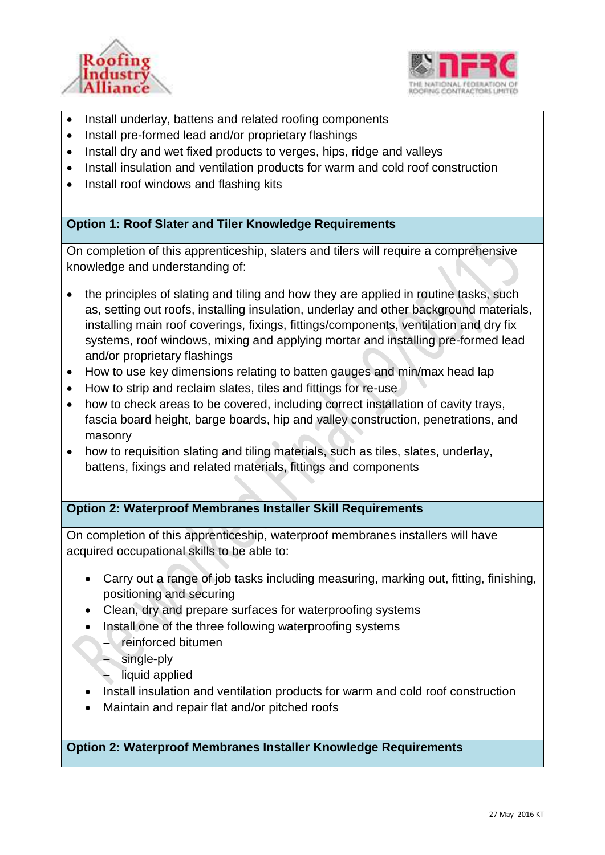



- Install underlay, battens and related roofing components
- Install pre-formed lead and/or proprietary flashings
- Install dry and wet fixed products to verges, hips, ridge and valleys
- Install insulation and ventilation products for warm and cold roof construction
- Install roof windows and flashing kits

### **Option 1: Roof Slater and Tiler Knowledge Requirements**

On completion of this apprenticeship, slaters and tilers will require a comprehensive knowledge and understanding of:

- the principles of slating and tiling and how they are applied in routine tasks, such as, setting out roofs, installing insulation, underlay and other background materials, installing main roof coverings, fixings, fittings/components, ventilation and dry fix systems, roof windows, mixing and applying mortar and installing pre-formed lead and/or proprietary flashings
- How to use key dimensions relating to batten gauges and min/max head lap
- How to strip and reclaim slates, tiles and fittings for re-use
- how to check areas to be covered, including correct installation of cavity trays, fascia board height, barge boards, hip and valley construction, penetrations, and masonry
- how to requisition slating and tiling materials, such as tiles, slates, underlay, battens, fixings and related materials, fittings and components

### **Option 2: Waterproof Membranes Installer Skill Requirements**

On completion of this apprenticeship, waterproof membranes installers will have acquired occupational skills to be able to:

- Carry out a range of job tasks including measuring, marking out, fitting, finishing, positioning and securing
- Clean, dry and prepare surfaces for waterproofing systems
- Install one of the three following waterproofing systems
	- reinforced bitumen
	- single-ply
		- liquid applied
- Install insulation and ventilation products for warm and cold roof construction
- Maintain and repair flat and/or pitched roofs

**Option 2: Waterproof Membranes Installer Knowledge Requirements**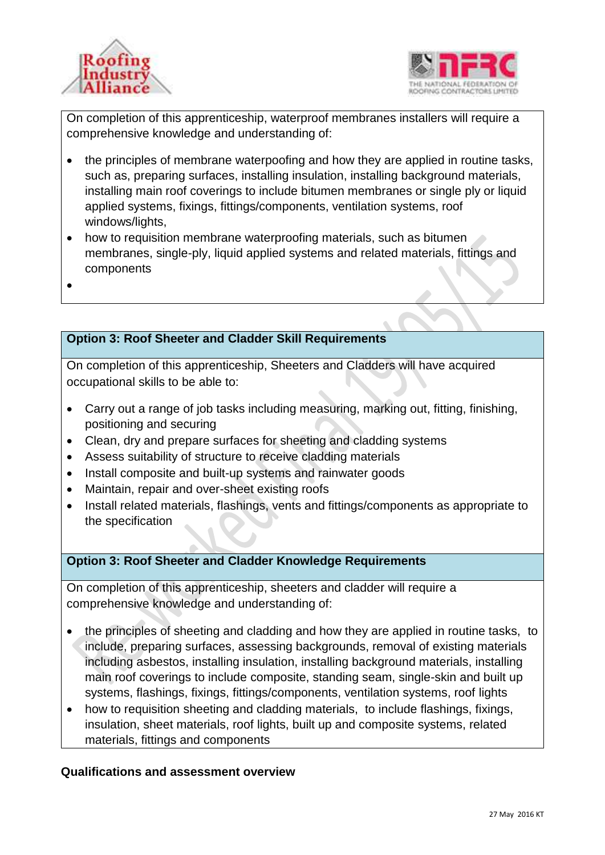



On completion of this apprenticeship, waterproof membranes installers will require a comprehensive knowledge and understanding of:

- the principles of membrane waterpoofing and how they are applied in routine tasks, such as, preparing surfaces, installing insulation, installing background materials, installing main roof coverings to include bitumen membranes or single ply or liquid applied systems, fixings, fittings/components, ventilation systems, roof windows/lights,
- how to requisition membrane waterproofing materials, such as bitumen membranes, single-ply, liquid applied systems and related materials, fittings and components
- $\bullet$

## **Option 3: Roof Sheeter and Cladder Skill Requirements**

On completion of this apprenticeship, Sheeters and Cladders will have acquired occupational skills to be able to:

- Carry out a range of job tasks including measuring, marking out, fitting, finishing, positioning and securing
- Clean, dry and prepare surfaces for sheeting and cladding systems
- Assess suitability of structure to receive cladding materials
- Install composite and built-up systems and rainwater goods
- Maintain, repair and over-sheet existing roofs
- Install related materials, flashings, vents and fittings/components as appropriate to the specification

### **Option 3: Roof Sheeter and Cladder Knowledge Requirements**

On completion of this apprenticeship, sheeters and cladder will require a comprehensive knowledge and understanding of:

- the principles of sheeting and cladding and how they are applied in routine tasks, to include, preparing surfaces, assessing backgrounds, removal of existing materials including asbestos, installing insulation, installing background materials, installing main roof coverings to include composite, standing seam, single-skin and built up systems, flashings, fixings, fittings/components, ventilation systems, roof lights
- how to requisition sheeting and cladding materials, to include flashings, fixings, insulation, sheet materials, roof lights, built up and composite systems, related materials, fittings and components

#### **Qualifications and assessment overview**